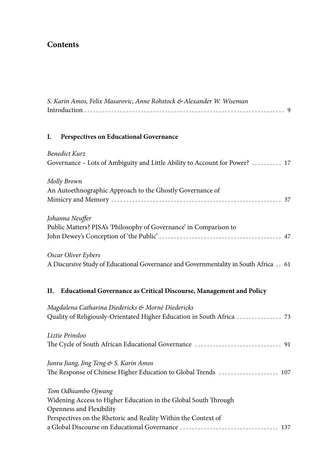## **Contents**

| S. Karin Amos, Felix Masarovic, Anne Rohstock & Alexander W. Wiseman                                                                                                                 |
|--------------------------------------------------------------------------------------------------------------------------------------------------------------------------------------|
| I.<br>Perspectives on Educational Governance                                                                                                                                         |
| <b>Benedict Kurz</b><br>Governance - Lots of Ambiguity and Little Ability to Account for Power?  17                                                                                  |
| Molly Brown<br>An Autoethnographic Approach to the Ghostly Governance of                                                                                                             |
| Johanna Neuffer<br>Public Matters? PISA's 'Philosophy of Governance' in Comparison to                                                                                                |
| Oscar Oliver Eybers<br>A Discursive Study of Educational Governance and Governmentality in South Africa 61                                                                           |
| <b>Educational Governance as Critical Discourse, Management and Policy</b><br>Н.                                                                                                     |
| Magdalena Catharina Diedericks & Morné Diedericks<br>Quality of Religiously-Orientated Higher Education in South Africa  73                                                          |
| Liztie Prinsloo                                                                                                                                                                      |
| Junru Jiang, Jing Teng & S. Karin Amos<br>The Response of Chinese Higher Education to Global Trends  107                                                                             |
| Tom Odhiambo Ojwang<br>Widening Access to Higher Education in the Global South Through<br>Openness and Flexibility<br>Perspectives on the Rhetoric and Reality Within the Context of |
|                                                                                                                                                                                      |